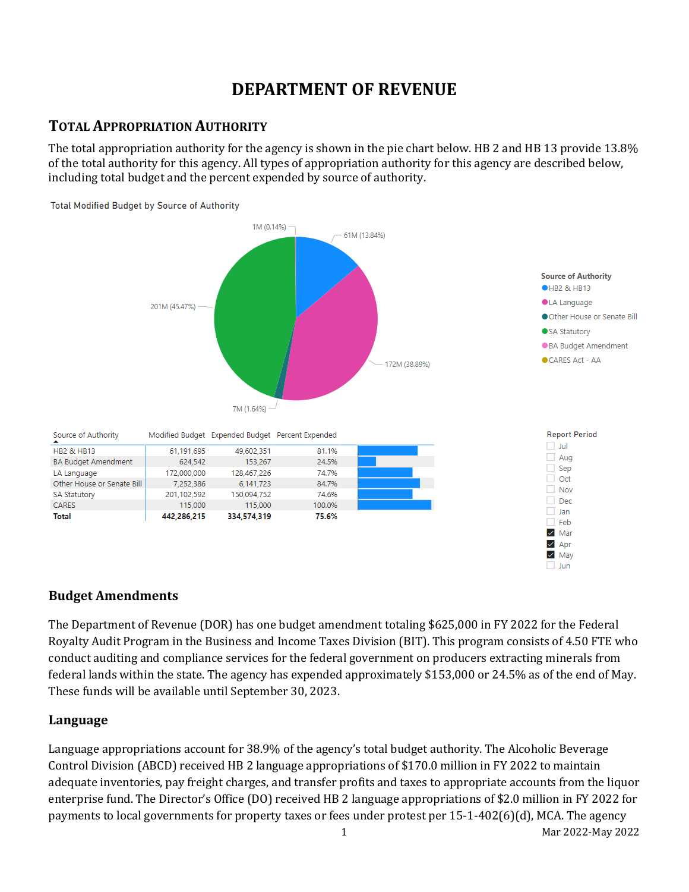# **DEPARTMENT OF REVENUE**

# **TOTAL APPROPRIATION AUTHORITY**

The total appropriation authority for the agency is shown in the pie chart below. HB 2 and HB 13 provide 13.8% of the total authority for this agency. All types of appropriation authority for this agency are described below, including total budget and the percent expended by source of authority.



### **Budget Amendments**

The Department of Revenue (DOR) has one budget amendment totaling \$625,000 in FY 2022 for the Federal Royalty Audit Program in the Business and Income Taxes Division (BIT). This program consists of 4.50 FTE who conduct auditing and compliance services for the federal government on producers extracting minerals from federal lands within the state. The agency has expended approximately \$153,000 or 24.5% as of the end of May. These funds will be available until September 30, 2023.

### **Language**

1 Mar 2022-May 2022 Language appropriations account for 38.9% of the agency's total budget authority. The Alcoholic Beverage Control Division (ABCD) received HB 2 language appropriations of \$170.0 million in FY 2022 to maintain adequate inventories, pay freight charges, and transfer profits and taxes to appropriate accounts from the liquor enterprise fund. The Director's Office (DO) received HB 2 language appropriations of \$2.0 million in FY 2022 for payments to local governments for property taxes or fees under protest per 15-1-402(6)(d), MCA. The agency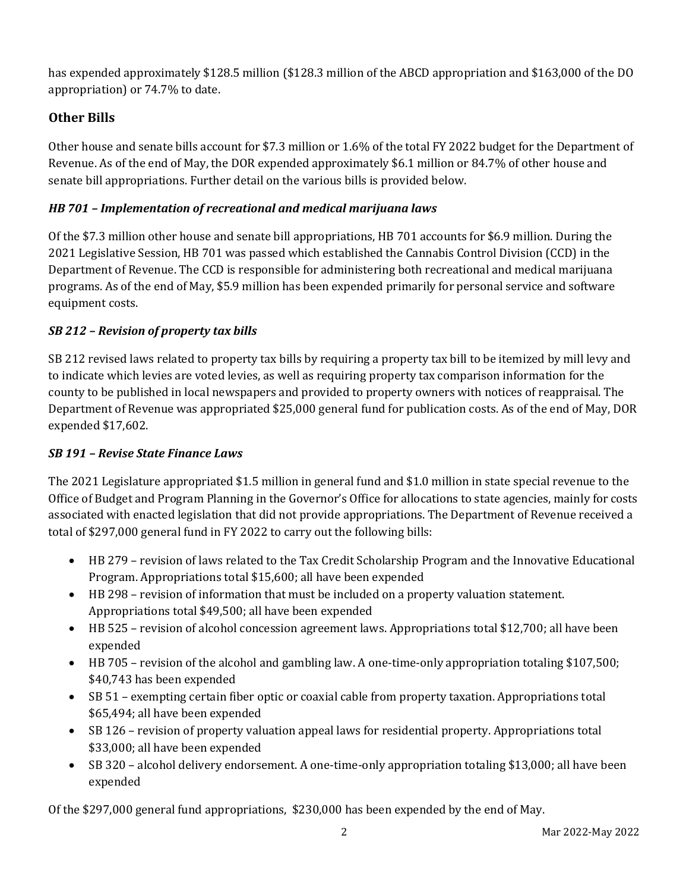has expended approximately \$128.5 million (\$128.3 million of the ABCD appropriation and \$163,000 of the DO appropriation) or 74.7% to date.

# **Other Bills**

Other house and senate bills account for \$7.3 million or 1.6% of the total FY 2022 budget for the Department of Revenue. As of the end of May, the DOR expended approximately \$6.1 million or 84.7% of other house and senate bill appropriations. Further detail on the various bills is provided below.

### *HB 701 – Implementation of recreational and medical marijuana laws*

Of the \$7.3 million other house and senate bill appropriations, HB 701 accounts for \$6.9 million. During the 2021 Legislative Session, HB 701 was passed which established the Cannabis Control Division (CCD) in the Department of Revenue. The CCD is responsible for administering both recreational and medical marijuana programs. As of the end of May, \$5.9 million has been expended primarily for personal service and software equipment costs.

## *SB 212 – Revision of property tax bills*

SB 212 revised laws related to property tax bills by requiring a property tax bill to be itemized by mill levy and to indicate which levies are voted levies, as well as requiring property tax comparison information for the county to be published in local newspapers and provided to property owners with notices of reappraisal. The Department of Revenue was appropriated \$25,000 general fund for publication costs. As of the end of May, DOR expended \$17,602.

### *SB 191 – Revise State Finance Laws*

The 2021 Legislature appropriated \$1.5 million in general fund and \$1.0 million in state special revenue to the Office of Budget and Program Planning in the Governor's Office for allocations to state agencies, mainly for costs associated with enacted legislation that did not provide appropriations. The Department of Revenue received a total of \$297,000 general fund in FY 2022 to carry out the following bills:

- HB 279 revision of laws related to the Tax Credit Scholarship Program and the Innovative Educational Program. Appropriations total \$15,600; all have been expended
- HB 298 revision of information that must be included on a property valuation statement. Appropriations total \$49,500; all have been expended
- HB 525 revision of alcohol concession agreement laws. Appropriations total \$12,700; all have been expended
- HB 705 revision of the alcohol and gambling law. A one-time-only appropriation totaling \$107,500; \$40,743 has been expended
- SB 51 exempting certain fiber optic or coaxial cable from property taxation. Appropriations total \$65,494; all have been expended
- SB 126 revision of property valuation appeal laws for residential property. Appropriations total \$33,000; all have been expended
- SB 320 alcohol delivery endorsement. A one-time-only appropriation totaling \$13,000; all have been expended

Of the \$297,000 general fund appropriations, \$230,000 has been expended by the end of May.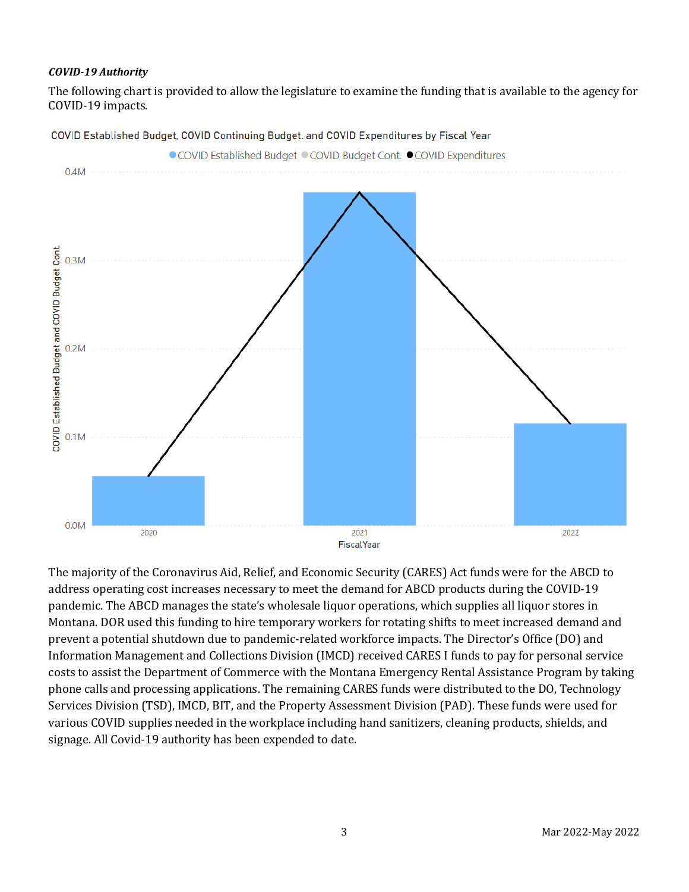#### *COVID-19 Authority*

The following chart is provided to allow the legislature to examine the funding that is available to the agency for COVID-19 impacts.



COVID Established Budget, COVID Continuing Budget. and COVID Expenditures by Fiscal Year

The majority of the Coronavirus Aid, Relief, and Economic Security (CARES) Act funds were for the ABCD to address operating cost increases necessary to meet the demand for ABCD products during the COVID-19 pandemic. The ABCD manages the state's wholesale liquor operations, which supplies all liquor stores in Montana. DOR used this funding to hire temporary workers for rotating shifts to meet increased demand and prevent a potential shutdown due to pandemic-related workforce impacts. The Director's Office (DO) and Information Management and Collections Division (IMCD) received CARES I funds to pay for personal service costs to assist the Department of Commerce with the Montana Emergency Rental Assistance Program by taking phone calls and processing applications. The remaining CARES funds were distributed to the DO, Technology Services Division (TSD), IMCD, BIT, and the Property Assessment Division (PAD). These funds were used for various COVID supplies needed in the workplace including hand sanitizers, cleaning products, shields, and signage. All Covid-19 authority has been expended to date.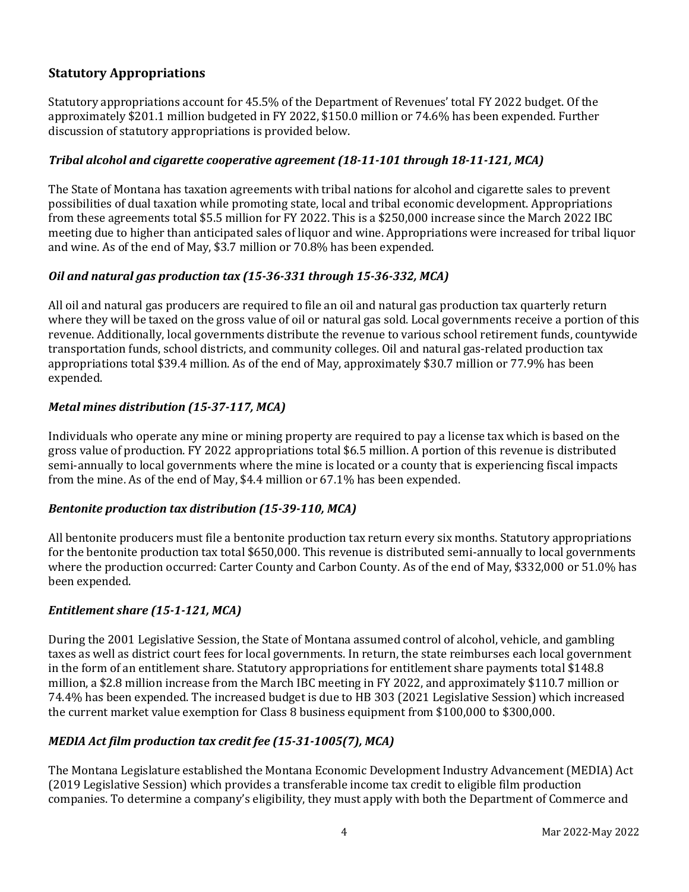### **Statutory Appropriations**

Statutory appropriations account for 45.5% of the Department of Revenues' total FY 2022 budget. Of the approximately \$201.1 million budgeted in FY 2022, \$150.0 million or 74.6% has been expended. Further discussion of statutory appropriations is provided below.

#### *Tribal alcohol and cigarette cooperative agreement (18-11-101 through 18-11-121, MCA)*

The State of Montana has taxation agreements with tribal nations for alcohol and cigarette sales to prevent possibilities of dual taxation while promoting state, local and tribal economic development. Appropriations from these agreements total \$5.5 million for FY 2022. This is a \$250,000 increase since the March 2022 IBC meeting due to higher than anticipated sales of liquor and wine. Appropriations were increased for tribal liquor and wine. As of the end of May, \$3.7 million or 70.8% has been expended.

#### *Oil and natural gas production tax (15-36-331 through 15-36-332, MCA)*

All oil and natural gas producers are required to file an oil and natural gas production tax quarterly return where they will be taxed on the gross value of oil or natural gas sold. Local governments receive a portion of this revenue. Additionally, local governments distribute the revenue to various school retirement funds, countywide transportation funds, school districts, and community colleges. Oil and natural gas-related production tax appropriations total \$39.4 million. As of the end of May, approximately \$30.7 million or 77.9% has been expended.

#### *Metal mines distribution (15-37-117, MCA)*

Individuals who operate any mine or mining property are required to pay a license tax which is based on the gross value of production. FY 2022 appropriations total \$6.5 million. A portion of this revenue is distributed semi-annually to local governments where the mine is located or a county that is experiencing fiscal impacts from the mine. As of the end of May, \$4.4 million or 67.1% has been expended.

#### *Bentonite production tax distribution (15-39-110, MCA)*

All bentonite producers must file a bentonite production tax return every six months. Statutory appropriations for the bentonite production tax total \$650,000. This revenue is distributed semi-annually to local governments where the production occurred: Carter County and Carbon County. As of the end of May, \$332,000 or 51.0% has been expended.

#### *Entitlement share (15-1-121, MCA)*

During the 2001 Legislative Session, the State of Montana assumed control of alcohol, vehicle, and gambling taxes as well as district court fees for local governments. In return, the state reimburses each local government in the form of an entitlement share. Statutory appropriations for entitlement share payments total \$148.8 million, a \$2.8 million increase from the March IBC meeting in FY 2022, and approximately \$110.7 million or 74.4% has been expended. The increased budget is due to HB 303 (2021 Legislative Session) which increased the current market value exemption for Class 8 business equipment from \$100,000 to \$300,000.

#### *MEDIA Act film production tax credit fee (15-31-1005(7), MCA)*

The Montana Legislature established the Montana Economic Development Industry Advancement (MEDIA) Act (2019 Legislative Session) which provides a transferable income tax credit to eligible film production companies. To determine a company's eligibility, they must apply with both the Department of Commerce and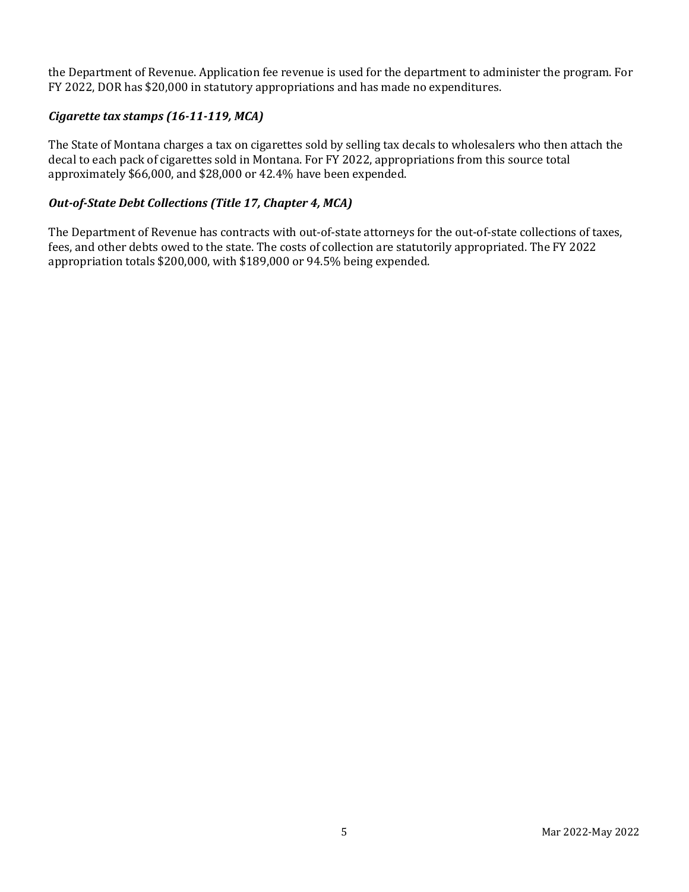the Department of Revenue. Application fee revenue is used for the department to administer the program. For FY 2022, DOR has \$20,000 in statutory appropriations and has made no expenditures.

#### *Cigarette tax stamps (16-11-119, MCA)*

The State of Montana charges a tax on cigarettes sold by selling tax decals to wholesalers who then attach the decal to each pack of cigarettes sold in Montana. For FY 2022, appropriations from this source total approximately \$66,000, and \$28,000 or 42.4% have been expended.

#### *Out-of-State Debt Collections (Title 17, Chapter 4, MCA)*

The Department of Revenue has contracts with out-of-state attorneys for the out-of-state collections of taxes, fees, and other debts owed to the state. The costs of collection are statutorily appropriated. The FY 2022 appropriation totals \$200,000, with \$189,000 or 94.5% being expended.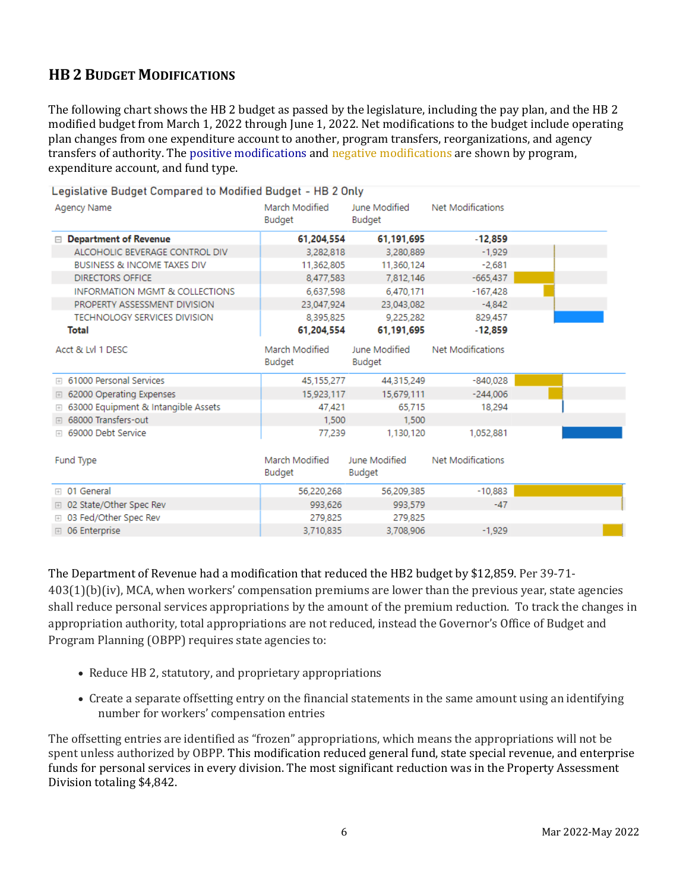# **HB 2 BUDGET MODIFICATIONS**

The following chart shows the HB 2 budget as passed by the legislature, including the pay plan, and the HB 2 modified budget from March 1, 2022 through June 1, 2022. Net modifications to the budget include operating plan changes from one expenditure account to another, program transfers, reorganizations, and agency transfers of authority. The positive modifications and negative modifications are shown by program, expenditure account, and fund type.

| Legislative Budget Compared to Modified Budget - HB 2 Only |                          |                                |                   |  |  |  |  |  |  |
|------------------------------------------------------------|--------------------------|--------------------------------|-------------------|--|--|--|--|--|--|
| Agency Name                                                | March Modified<br>Budget | June Modified<br>Budget        | Net Modifications |  |  |  |  |  |  |
| <b>Department of Revenue</b><br>$\Box$                     | 61,204,554               | 61,191,695                     | $-12,859$         |  |  |  |  |  |  |
| ALCOHOLIC BEVERAGE CONTROL DIV                             | 3,282,818                | 3,280,889                      | $-1.929$          |  |  |  |  |  |  |
| <b>BUSINESS &amp; INCOME TAXES DIV</b>                     | 11,362,805               | 11,360,124                     | $-2.681$          |  |  |  |  |  |  |
| <b>DIRECTORS OFFICE</b>                                    | 8,477,583                | 7,812,146                      | $-665,437$        |  |  |  |  |  |  |
| <b>INFORMATION MGMT &amp; COLLECTIONS</b>                  | 6,637,598                | 6.470.171                      | $-167,428$        |  |  |  |  |  |  |
| PROPERTY ASSESSMENT DIVISION                               | 23,047,924               | 23.043.082                     | $-4.842$          |  |  |  |  |  |  |
| <b>TECHNOLOGY SERVICES DIVISION</b>                        | 8,395,825                | 9,225,282                      | 829.457           |  |  |  |  |  |  |
| Total                                                      | 61,204,554               | 61,191,695                     | $-12,859$         |  |  |  |  |  |  |
| Acct & Lvl 1 DESC                                          | March Modified<br>Budget | June Modified<br>Budget        | Net Modifications |  |  |  |  |  |  |
| <b>⊞</b> 61000 Personal Services                           | 45,155,277               | 44,315,249                     | $-840.028$        |  |  |  |  |  |  |
| □ 62000 Operating Expenses                                 | 15.923.117               | 15,679,111                     | $-244,006$        |  |  |  |  |  |  |
| <b>E 63000 Equipment &amp; Intangible Assets</b>           | 47,421                   | 65.715                         | 18,294            |  |  |  |  |  |  |
| <b>⊞</b> 68000 Transfers-out                               | 1,500                    | 1,500                          |                   |  |  |  |  |  |  |
| ⊞ 69000 Debt Service                                       | 77,239                   | 1,130,120                      | 1,052,881         |  |  |  |  |  |  |
| Fund Type                                                  | March Modified<br>Budget | June Modified<br><b>Budget</b> | Net Modifications |  |  |  |  |  |  |
| <b>⊞</b> 01 General                                        | 56,220,268               | 56,209,385                     | $-10.883$         |  |  |  |  |  |  |
| <b>E</b> 02 State/Other Spec Rev                           | 993,626                  | 993.579                        | $-47$             |  |  |  |  |  |  |
| <b>E</b> 03 Fed/Other Spec Rev                             | 279,825                  | 279,825                        |                   |  |  |  |  |  |  |
| <b>□ 06 Enterprise</b>                                     | 3,710,835                | 3,708,906                      | $-1.929$          |  |  |  |  |  |  |
|                                                            |                          |                                |                   |  |  |  |  |  |  |

The Department of Revenue had a modification that reduced the HB2 budget by \$12,859. Per 39-71- 403(1)(b)(iv), MCA, when workers' compensation premiums are lower than the previous year, state agencies shall reduce personal services appropriations by the amount of the premium reduction. To track the changes in appropriation authority, total appropriations are not reduced, instead the Governor's Office of Budget and Program Planning (OBPP) requires state agencies to:

- Reduce HB 2, statutory, and proprietary appropriations
- Create a separate offsetting entry on the financial statements in the same amount using an identifying number for workers' compensation entries

The offsetting entries are identified as "frozen" appropriations, which means the appropriations will not be spent unless authorized by OBPP. This modification reduced general fund, state special revenue, and enterprise funds for personal services in every division. The most significant reduction was in the Property Assessment Division totaling \$4,842.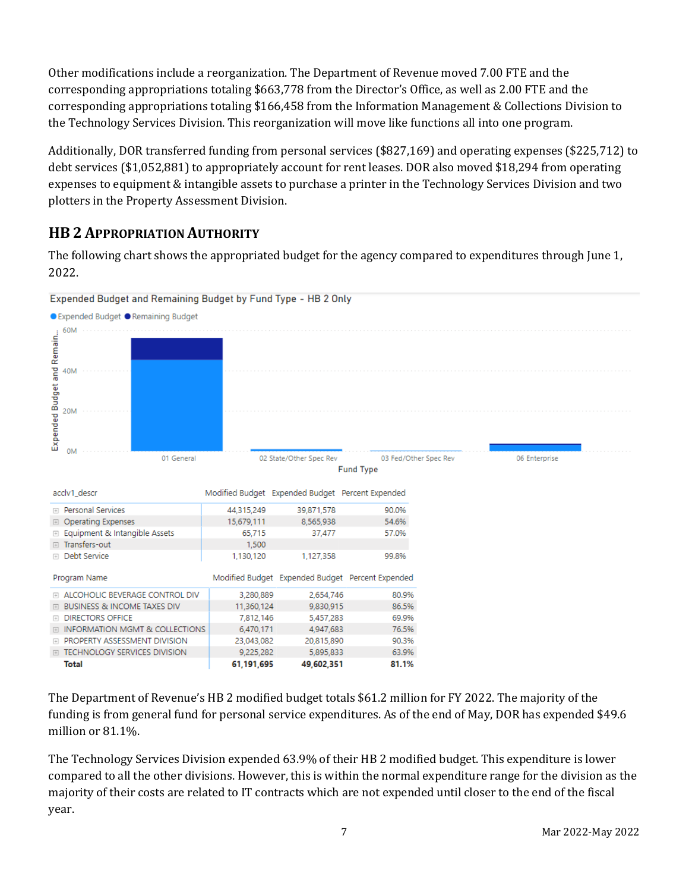Other modifications include a reorganization. The Department of Revenue moved 7.00 FTE and the corresponding appropriations totaling \$663,778 from the Director's Office, as well as 2.00 FTE and the corresponding appropriations totaling \$166,458 from the Information Management & Collections Division to the Technology Services Division. This reorganization will move like functions all into one program.

Additionally, DOR transferred funding from personal services (\$827,169) and operating expenses (\$225,712) to debt services (\$1,052,881) to appropriately account for rent leases. DOR also moved \$18,294 from operating expenses to equipment & intangible assets to purchase a printer in the Technology Services Division and two plotters in the Property Assessment Division.

# **HB 2 APPROPRIATION AUTHORITY**

The following chart shows the appropriated budget for the agency compared to expenditures through June 1, 2022.



Expended Budget and Remaining Budget by Fund Type - HB 2 Only

The Department of Revenue's HB 2 modified budget totals \$61.2 million for FY 2022. The majority of the funding is from general fund for personal service expenditures. As of the end of May, DOR has expended \$49.6 million or 81.1%.

The Technology Services Division expended 63.9% of their HB 2 modified budget. This expenditure is lower compared to all the other divisions. However, this is within the normal expenditure range for the division as the majority of their costs are related to IT contracts which are not expended until closer to the end of the fiscal year.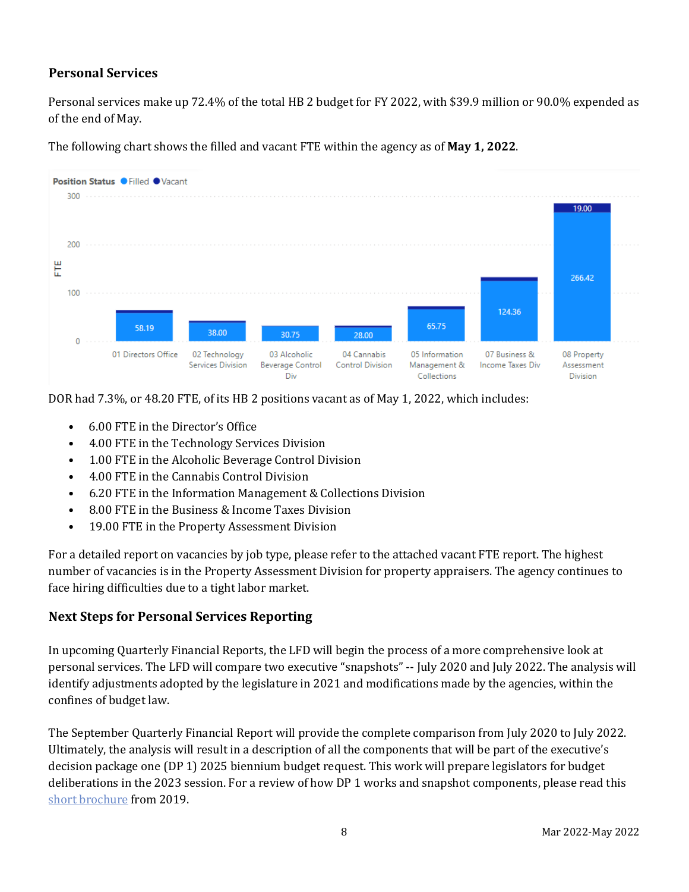### **Personal Services**

Personal services make up 72.4% of the total HB 2 budget for FY 2022, with \$39.9 million or 90.0% expended as of the end of May.



The following chart shows the filled and vacant FTE within the agency as of **May 1, 2022**.

DOR had 7.3%, or 48.20 FTE, of its HB 2 positions vacant as of May 1, 2022, which includes:

- 6.00 FTE in the Director's Office
- 4.00 FTE in the Technology Services Division
- 1.00 FTE in the Alcoholic Beverage Control Division
- 4.00 FTE in the Cannabis Control Division
- 6.20 FTE in the Information Management & Collections Division
- 8.00 FTE in the Business & Income Taxes Division
- 19.00 FTE in the Property Assessment Division

For a detailed report on vacancies by job type, please refer to the attached vacant FTE report. The highest number of vacancies is in the Property Assessment Division for property appraisers. The agency continues to face hiring difficulties due to a tight labor market.

### **Next Steps for Personal Services Reporting**

In upcoming Quarterly Financial Reports, the LFD will begin the process of a more comprehensive look at personal services. The LFD will compare two executive "snapshots" -- July 2020 and July 2022. The analysis will identify adjustments adopted by the legislature in 2021 and modifications made by the agencies, within the confines of budget law.

The September Quarterly Financial Report will provide the complete comparison from July 2020 to July 2022. Ultimately, the analysis will result in a description of all the components that will be part of the executive's decision package one (DP 1) 2025 biennium budget request. This work will prepare legislators for budget deliberations in the 2023 session. For a review of how DP 1 works and snapshot components, please read this [short brochure](https://montana.maps.arcgis.com/apps/Cascade/index.html?appid=23095fcf15754f4fb38b63c58a884b97) from 2019.